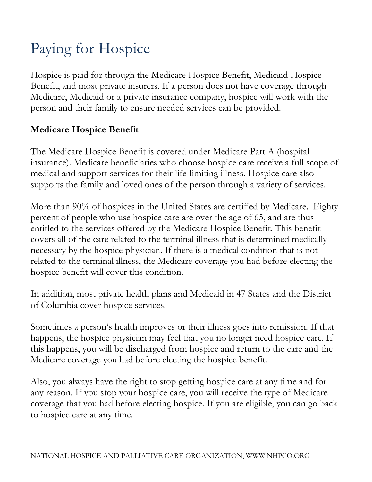# Paying for Hospice

Hospice is paid for through the Medicare Hospice Benefit, Medicaid Hospice Benefit, and most private insurers. If a person does not have coverage through Medicare, Medicaid or a private insurance company, hospice will work with the person and their family to ensure needed services can be provided.

## **Medicare Hospice Benefit**

The Medicare Hospice Benefit is covered under Medicare Part A (hospital insurance). Medicare beneficiaries who choose hospice care receive a full scope of medical and support services for their life-limiting illness. Hospice care also supports the family and loved ones of the person through a variety of services.

More than 90% of hospices in the United States are certified by Medicare. Eighty percent of people who use hospice care are over the age of 65, and are thus entitled to the services offered by the Medicare Hospice Benefit. This benefit covers all of the care related to the terminal illness that is determined medically necessary by the hospice physician. If there is a medical condition that is not related to the terminal illness, the Medicare coverage you had before electing the hospice benefit will cover this condition.

In addition, most private health plans and Medicaid in 47 States and the District of Columbia cover hospice services.

Sometimes a person's health improves or their illness goes into remission. If that happens, the hospice physician may feel that you no longer need hospice care. If this happens, you will be discharged from hospice and return to the care and the Medicare coverage you had before electing the hospice benefit.

Also, you always have the right to stop getting hospice care at any time and for any reason. If you stop your hospice care, you will receive the type of Medicare coverage that you had before electing hospice. If you are eligible, you can go back to hospice care at any time.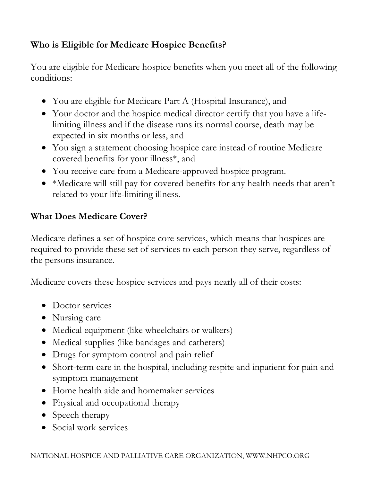# **Who is Eligible for Medicare Hospice Benefits?**

You are eligible for Medicare hospice benefits when you meet all of the following conditions:

- You are eligible for Medicare Part A (Hospital Insurance), and
- Your doctor and the hospice medical director certify that you have a lifelimiting illness and if the disease runs its normal course, death may be expected in six months or less, and
- You sign a statement choosing hospice care instead of routine Medicare covered benefits for your illness\*, and
- You receive care from a Medicare-approved hospice program.
- \*Medicare will still pay for covered benefits for any health needs that aren't related to your life-limiting illness.

#### **What Does Medicare Cover?**

Medicare defines a set of hospice core services, which means that hospices are required to provide these set of services to each person they serve, regardless of the persons insurance.

Medicare covers these hospice services and pays nearly all of their costs:

- Doctor services
- Nursing care
- Medical equipment (like wheelchairs or walkers)
- Medical supplies (like bandages and catheters)
- Drugs for symptom control and pain relief
- Short-term care in the hospital, including respite and inpatient for pain and symptom management
- Home health aide and homemaker services
- Physical and occupational therapy
- Speech therapy
- Social work services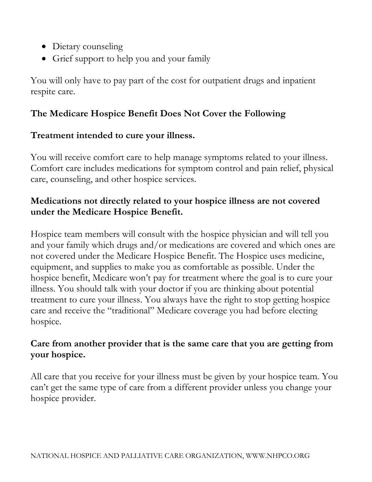- Dietary counseling
- Grief support to help you and your family

You will only have to pay part of the cost for outpatient drugs and inpatient respite care.

# **The Medicare Hospice Benefit Does Not Cover the Following**

#### **Treatment intended to cure your illness.**

You will receive comfort care to help manage symptoms related to your illness. Comfort care includes medications for symptom control and pain relief, physical care, counseling, and other hospice services.

#### **Medications not directly related to your hospice illness are not covered under the Medicare Hospice Benefit.**

Hospice team members will consult with the hospice physician and will tell you and your family which drugs and/or medications are covered and which ones are not covered under the Medicare Hospice Benefit. The Hospice uses medicine, equipment, and supplies to make you as comfortable as possible. Under the hospice benefit, Medicare won't pay for treatment where the goal is to cure your illness. You should talk with your doctor if you are thinking about potential treatment to cure your illness. You always have the right to stop getting hospice care and receive the "traditional" Medicare coverage you had before electing hospice.

#### **Care from another provider that is the same care that you are getting from your hospice.**

All care that you receive for your illness must be given by your hospice team. You can't get the same type of care from a different provider unless you change your hospice provider.